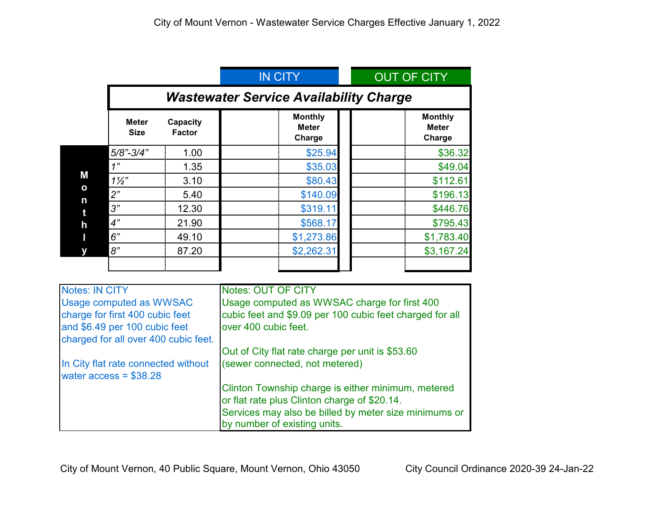|                                       |                                               |                           | <b>IN CITY</b>                           | <b>OUT OF CITY</b>                       |  |
|---------------------------------------|-----------------------------------------------|---------------------------|------------------------------------------|------------------------------------------|--|
|                                       | <b>Wastewater Service Availability Charge</b> |                           |                                          |                                          |  |
|                                       | <b>Meter</b><br><b>Size</b>                   | Capacity<br><b>Factor</b> | <b>Monthly</b><br><b>Meter</b><br>Charge | <b>Monthly</b><br><b>Meter</b><br>Charge |  |
| Μ<br>$\mathbf{o}$<br>n<br>t<br>h<br>Π | $5/8$ "-3/4"                                  | 1.00                      | \$25.94                                  | \$36.32                                  |  |
|                                       | 1"                                            | 1.35                      | \$35.03                                  | \$49.04                                  |  |
|                                       | $1\frac{1}{2}$                                | 3.10                      | \$80.43                                  | \$112.61                                 |  |
|                                       | 2"                                            | 5.40                      | \$140.09                                 | \$196.13                                 |  |
|                                       | 3"                                            | 12.30                     | \$319.11                                 | \$446.76                                 |  |
|                                       | 4"                                            | 21.90                     | \$568.17                                 | \$795.43                                 |  |
|                                       | 6"                                            | 49.10                     | \$1,273.86                               | \$1,783.40                               |  |
| у                                     | 8"                                            | 87.20                     | \$2,262.31                               | \$3,167.24                               |  |

| <b>Notes: IN CITY</b>                                          | <b>Notes: OUT OF CITY</b>                                |  |
|----------------------------------------------------------------|----------------------------------------------------------|--|
| Usage computed as WWSAC                                        | Usage computed as WWSAC charge for first 400             |  |
| charge for first 400 cubic feet                                | cubic feet and \$9.09 per 100 cubic feet charged for all |  |
| and \$6.49 per 100 cubic feet                                  | over 400 cubic feet.                                     |  |
| charged for all over 400 cubic feet.                           |                                                          |  |
|                                                                | Out of City flat rate charge per unit is \$53.60         |  |
| In City flat rate connected without<br>water $access = $38.28$ | (sewer connected, not metered)                           |  |
|                                                                | Clinton Township charge is either minimum, metered       |  |
|                                                                | or flat rate plus Clinton charge of \$20.14.             |  |
|                                                                | Services may also be billed by meter size minimums or    |  |
|                                                                | by number of existing units.                             |  |